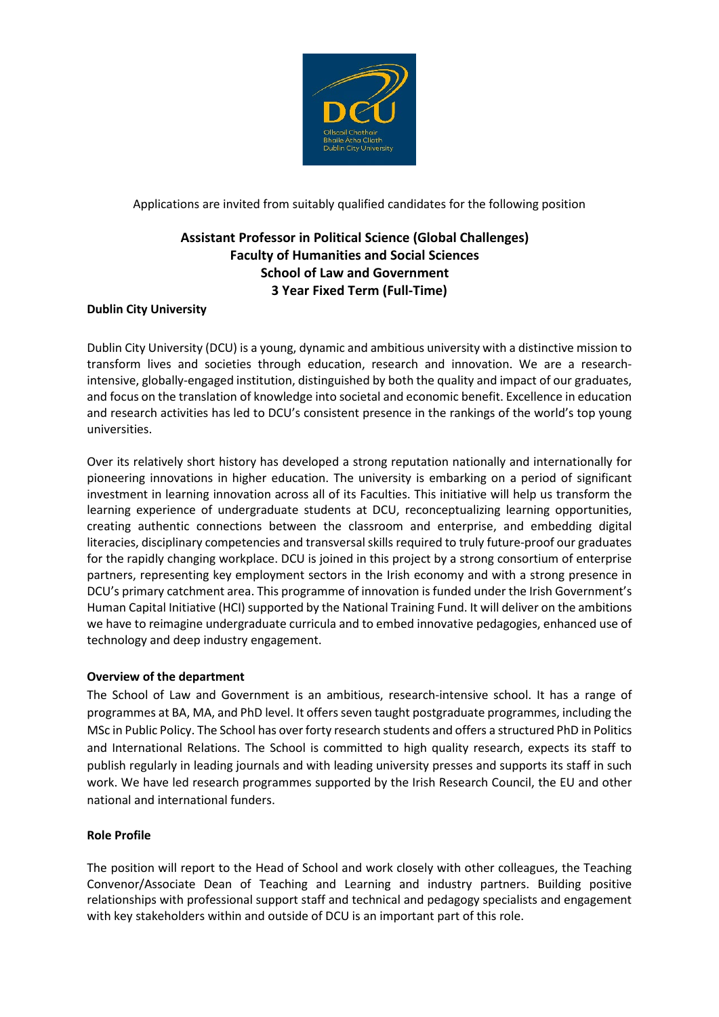

Applications are invited from suitably qualified candidates for the following position

# **Assistant Professor in Political Science (Global Challenges) Faculty of Humanities and Social Sciences School of Law and Government 3 Year Fixed Term (Full-Time)**

# **Dublin City University**

Dublin City University (DCU) is a young, dynamic and ambitious university with a distinctive mission to transform lives and societies through education, research and innovation. We are a researchintensive, globally-engaged institution, distinguished by both the quality and impact of our graduates, and focus on the translation of knowledge into societal and economic benefit. Excellence in education and research activities has led to DCU's consistent presence in the rankings of the world's top young universities.

Over its relatively short history has developed a strong reputation nationally and internationally for pioneering innovations in higher education. The university is embarking on a period of significant investment in learning innovation across all of its Faculties. This initiative will help us transform the learning experience of undergraduate students at DCU, reconceptualizing learning opportunities, creating authentic connections between the classroom and enterprise, and embedding digital literacies, disciplinary competencies and transversal skills required to truly future-proof our graduates for the rapidly changing workplace. DCU is joined in this project by a strong consortium of enterprise partners, representing key employment sectors in the Irish economy and with a strong presence in DCU's primary catchment area. This programme of innovation is funded under the Irish Government's Human Capital Initiative (HCI) supported by the National Training Fund. It will deliver on the ambitions we have to reimagine undergraduate curricula and to embed innovative pedagogies, enhanced use of technology and deep industry engagement.

# **Overview of the department**

The School of Law and Government is an ambitious, research-intensive school. It has a range of programmes at BA, MA, and PhD level. It offers seven taught postgraduate programmes, including the MSc in Public Policy. The School has over forty research students and offers a structured PhD in Politics and International Relations. The School is committed to high quality research, expects its staff to publish regularly in leading journals and with leading university presses and supports its staff in such work. We have led research programmes supported by the Irish Research Council, the EU and other national and international funders.

# **Role Profile**

The position will report to the Head of School and work closely with other colleagues, the Teaching Convenor/Associate Dean of Teaching and Learning and industry partners. Building positive relationships with professional support staff and technical and pedagogy specialists and engagement with key stakeholders within and outside of DCU is an important part of this role.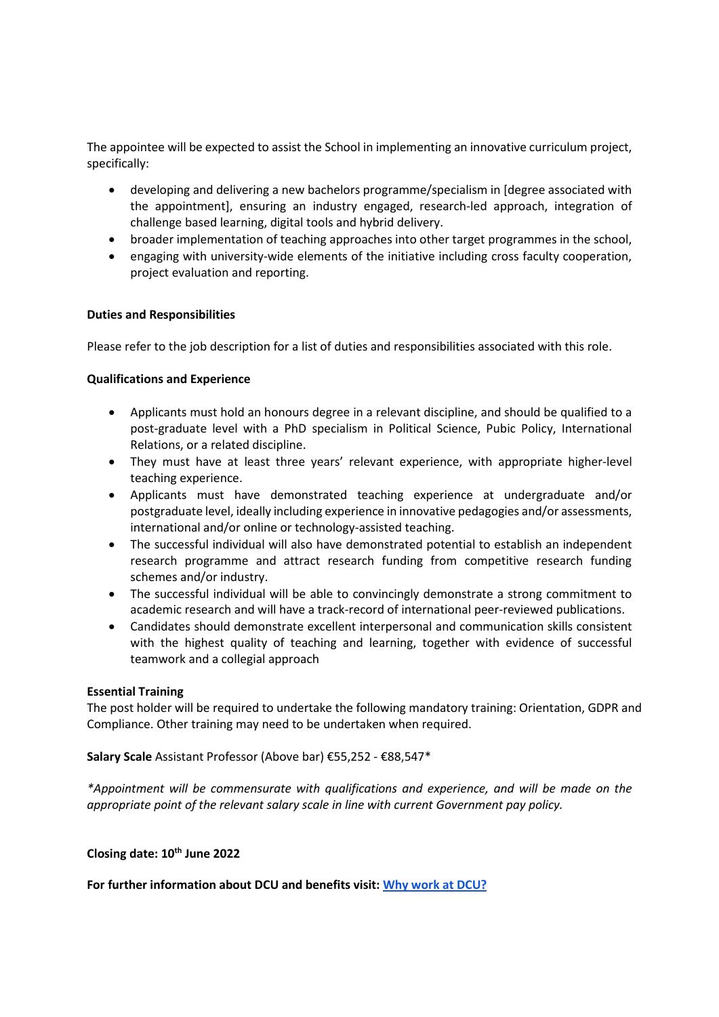The appointee will be expected to assist the School in implementing an innovative curriculum project, specifically:

- developing and delivering a new bachelors programme/specialism in [degree associated with the appointment], ensuring an industry engaged, research-led approach, integration of challenge based learning, digital tools and hybrid delivery.
- broader implementation of teaching approaches into other target programmes in the school,
- engaging with university-wide elements of the initiative including cross faculty cooperation, project evaluation and reporting.

## **Duties and Responsibilities**

Please refer to the job description for a list of duties and responsibilities associated with this role.

## **Qualifications and Experience**

- Applicants must hold an honours degree in a relevant discipline, and should be qualified to a post-graduate level with a PhD specialism in Political Science, Pubic Policy, International Relations, or a related discipline.
- They must have at least three years' relevant experience, with appropriate higher-level teaching experience.
- Applicants must have demonstrated teaching experience at undergraduate and/or postgraduate level, ideally including experience in innovative pedagogies and/or assessments, international and/or online or technology-assisted teaching.
- The successful individual will also have demonstrated potential to establish an independent research programme and attract research funding from competitive research funding schemes and/or industry.
- The successful individual will be able to convincingly demonstrate a strong commitment to academic research and will have a track-record of international peer-reviewed publications.
- Candidates should demonstrate excellent interpersonal and communication skills consistent with the highest quality of teaching and learning, together with evidence of successful teamwork and a collegial approach

### **Essential Training**

The post holder will be required to undertake the following mandatory training: Orientation, GDPR and Compliance. Other training may need to be undertaken when required.

**Salary Scale** Assistant Professor (Above bar) €55,252 - €88,547\*

*\*Appointment will be commensurate with qualifications and experience, and will be made on the appropriate point of the relevant salary scale in line with current Government pay policy.* 

## **Closing date: 10th June 2022**

**For further information about DCU and benefits visit[:](https://www.dcu.ie/hr/why-work-dcu) [Why work at DCU?](https://www.dcu.ie/hr/why-work-dcu)**